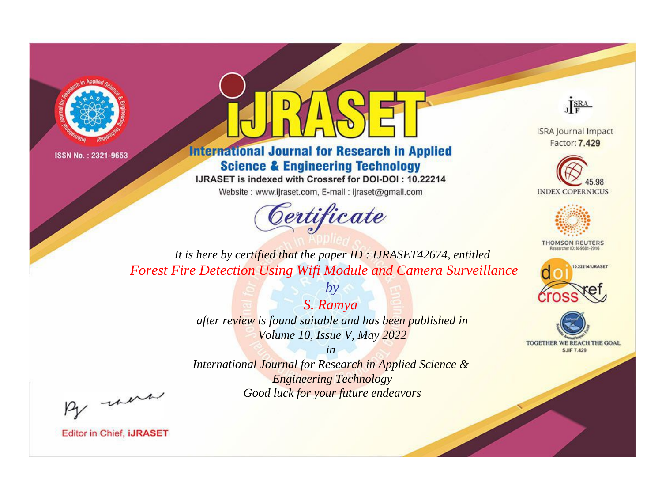



**International Journal for Research in Applied Science & Engineering Technology** 

IJRASET is indexed with Crossref for DOI-DOI: 10.22214

Website: www.ijraset.com, E-mail: ijraset@gmail.com



JERA

**ISRA Journal Impact** Factor: 7.429





**THOMSON REUTERS** 



TOGETHER WE REACH THE GOAL **SJIF 7.429** 

*It is here by certified that the paper ID : IJRASET42674, entitled Forest Fire Detection Using Wifi Module and Camera Surveillance*

> *S. Ramya after review is found suitable and has been published in Volume 10, Issue V, May 2022*

*by*

*in* 

*International Journal for Research in Applied Science & Engineering Technology Good luck for your future endeavors*

By morn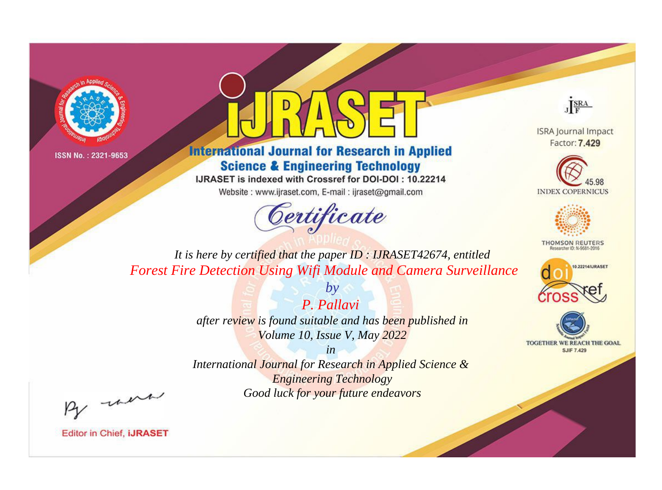



**International Journal for Research in Applied Science & Engineering Technology** 

IJRASET is indexed with Crossref for DOI-DOI: 10.22214

Website: www.ijraset.com, E-mail: ijraset@gmail.com



JERA

**ISRA Journal Impact** Factor: 7.429





**THOMSON REUTERS** 



TOGETHER WE REACH THE GOAL **SJIF 7.429** 

*It is here by certified that the paper ID : IJRASET42674, entitled Forest Fire Detection Using Wifi Module and Camera Surveillance*

> *P. Pallavi after review is found suitable and has been published in Volume 10, Issue V, May 2022*

*by*

*in* 

*International Journal for Research in Applied Science & Engineering Technology Good luck for your future endeavors*

By morn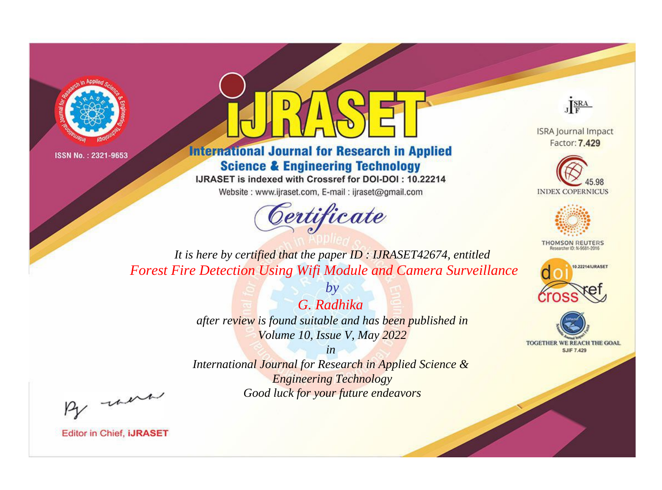



**International Journal for Research in Applied Science & Engineering Technology** 

IJRASET is indexed with Crossref for DOI-DOI: 10.22214

Website: www.ijraset.com, E-mail: ijraset@gmail.com



JERA

**ISRA Journal Impact** Factor: 7.429





**THOMSON REUTERS** 



TOGETHER WE REACH THE GOAL **SJIF 7.429** 

*It is here by certified that the paper ID : IJRASET42674, entitled Forest Fire Detection Using Wifi Module and Camera Surveillance*

> *G. Radhika after review is found suitable and has been published in Volume 10, Issue V, May 2022*

*by*

*in* 

*International Journal for Research in Applied Science & Engineering Technology Good luck for your future endeavors*

By morn